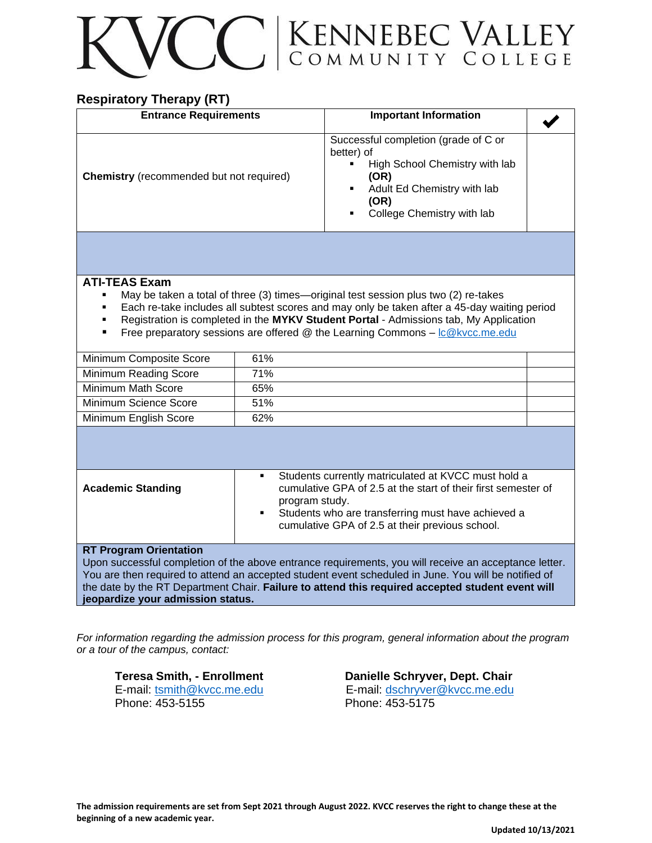# CC KENNEBEC VALLEY

### **Respiratory Therapy (RT)**

| <b>Entrance Requirements</b>                                                                                                                                                                                                                                                                                                                                                                                                         |                                                                                                                                                                                                                                                           | <b>Important Information</b>                                                                                                                                                                    |  |
|--------------------------------------------------------------------------------------------------------------------------------------------------------------------------------------------------------------------------------------------------------------------------------------------------------------------------------------------------------------------------------------------------------------------------------------|-----------------------------------------------------------------------------------------------------------------------------------------------------------------------------------------------------------------------------------------------------------|-------------------------------------------------------------------------------------------------------------------------------------------------------------------------------------------------|--|
| <b>Chemistry</b> (recommended but not required)                                                                                                                                                                                                                                                                                                                                                                                      |                                                                                                                                                                                                                                                           | Successful completion (grade of C or<br>better) of<br>High School Chemistry with lab<br>$\blacksquare$<br>(OR)<br>Adult Ed Chemistry with lab<br>. .<br>(OR)<br>College Chemistry with lab<br>٠ |  |
|                                                                                                                                                                                                                                                                                                                                                                                                                                      |                                                                                                                                                                                                                                                           |                                                                                                                                                                                                 |  |
| <b>ATI-TEAS Exam</b><br>May be taken a total of three (3) times—original test session plus two (2) re-takes<br>п.<br>Each re-take includes all subtest scores and may only be taken after a 45-day waiting period<br>$\blacksquare$<br>Registration is completed in the MYKV Student Portal - Admissions tab, My Application<br>٠<br>Free preparatory sessions are offered @ the Learning Commons - Ic@kvcc.me.edu<br>$\blacksquare$ |                                                                                                                                                                                                                                                           |                                                                                                                                                                                                 |  |
| Minimum Composite Score                                                                                                                                                                                                                                                                                                                                                                                                              | 61%                                                                                                                                                                                                                                                       |                                                                                                                                                                                                 |  |
| Minimum Reading Score                                                                                                                                                                                                                                                                                                                                                                                                                | 71%                                                                                                                                                                                                                                                       |                                                                                                                                                                                                 |  |
| Minimum Math Score                                                                                                                                                                                                                                                                                                                                                                                                                   | 65%                                                                                                                                                                                                                                                       |                                                                                                                                                                                                 |  |
| Minimum Science Score                                                                                                                                                                                                                                                                                                                                                                                                                | 51%                                                                                                                                                                                                                                                       |                                                                                                                                                                                                 |  |
| Minimum English Score                                                                                                                                                                                                                                                                                                                                                                                                                | 62%                                                                                                                                                                                                                                                       |                                                                                                                                                                                                 |  |
|                                                                                                                                                                                                                                                                                                                                                                                                                                      |                                                                                                                                                                                                                                                           |                                                                                                                                                                                                 |  |
| <b>Academic Standing</b>                                                                                                                                                                                                                                                                                                                                                                                                             | Students currently matriculated at KVCC must hold a<br>٠<br>cumulative GPA of 2.5 at the start of their first semester of<br>program study.<br>Students who are transferring must have achieved a<br>٠<br>cumulative GPA of 2.5 at their previous school. |                                                                                                                                                                                                 |  |
| <b>RT Program Orientation</b><br>Upon successful completion of the above entrance requirements, you will receive an acceptance letter.<br>You are then required to attend an accepted student event scheduled in June. You will be notified of<br>the date by the RT Department Chair. Failure to attend this required accepted student event will<br>jeopardize your admission status.                                              |                                                                                                                                                                                                                                                           |                                                                                                                                                                                                 |  |

*For information regarding the admission process for this program, general information about the program or a tour of the campus, contact:*

Phone: 453-5155 Phone: 453-5175

**Teresa Smith, - Enrollment Danielle Schryver, Dept. Chair**  E-mail: [tsmith@kvcc.me.edu](mailto:tsmith@kvcc.me.edu) E-mail: [dschryver@kvcc.me.edu](mailto:dschryver@kvcc.me.edu)